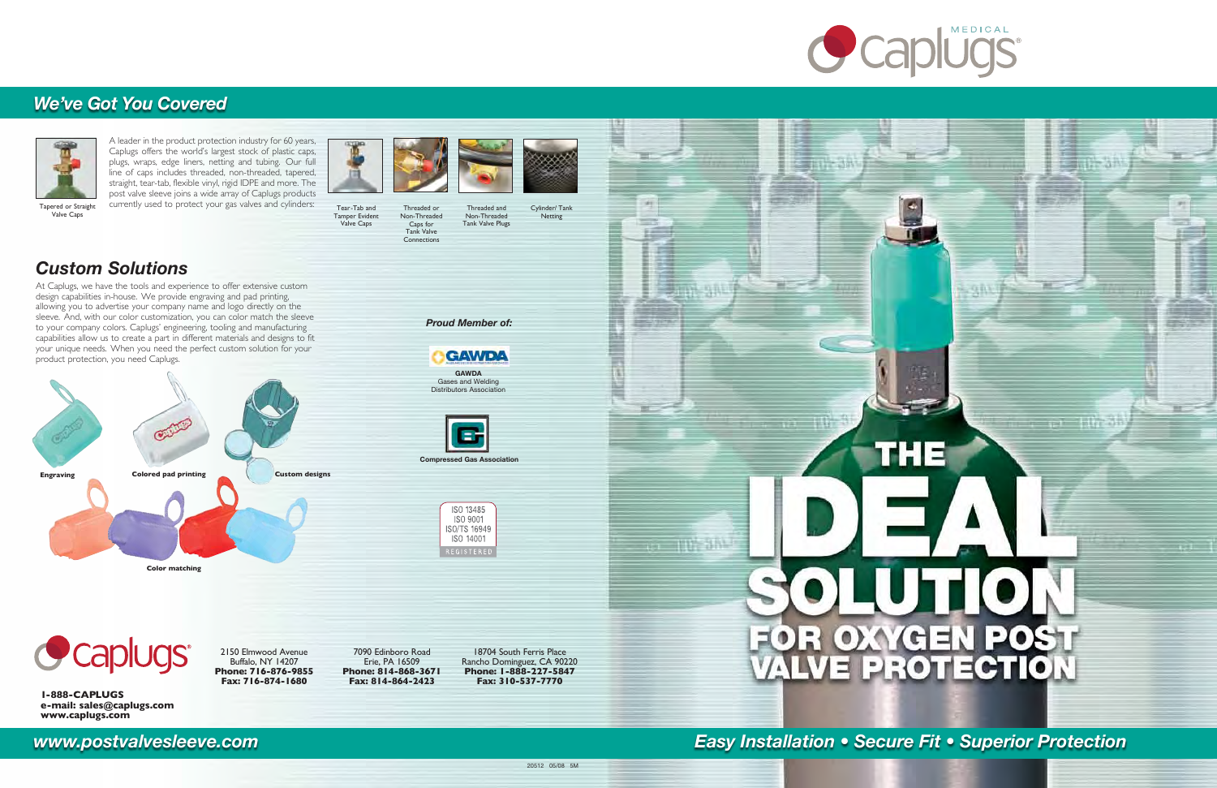**1-888-CAPLUGS e-mail: sales@caplugs.com www.caplugs.com**

*Proud Member of:*

A leader in the product protection industry for 60 years, Caplugs offers the world's largest stock of plastic caps, plugs, wraps, edge liners, netting and tubing. Our full line of caps includes threaded, non-threaded, tapered, straight, tear-tab, flexible vinyl, rigid IDPE and more. The post valve sleeve joins a wide array of Caplugs products currently used to protect your gas valves and cylinders:





# *Custom Solutions*

At Caplugs, we have the tools and experience to offer extensive custom design capabilities in-house. We provide engraving and pad printing, allowing you to advertise your company name and logo directly on the sleeve. And, with our color customization, you can color match the sleeve to your company colors. Caplugs' engineering, tooling and manufacturing capabilities allow us to create a part in different materials and designs to fit your unique needs. When you need the perfect custom solution for your product protection, you need Caplugs.



Valve Caps

Tear-Tab and Tamper Evident Valve Caps Threaded or Non-Threaded Caps for Tank Valve Connections





Cylinder/ Tank Netting Threaded and Non-Threaded Tank Valve Plugs

**GAWDA**  Gases and Welding Distributors Association

**GAWDA** 

**Compressed Gas Association**

ISO 13485 ISO 9001 ISO/TS 16949 ISO 14001

2150 Elmwood Avenue Buffalo, NY 14207 **Phone: 716-876-9855 Fax: 716-874-1680**

7090 Edinboro Road Erie, PA 16509 **Phone: 814-868-3671 Fax: 814-864-2423**

18704 South Ferris Place Rancho Dominguez, CA 90220 **Phone: 1-888-227-5847 Fax: 310-537-7770**



马斯

# OR OXYGEN POST

1444



# *We've Got You Covered*

*www.postvalvesleeve.com Easy Installation • Secure Fit • Superior Protection*